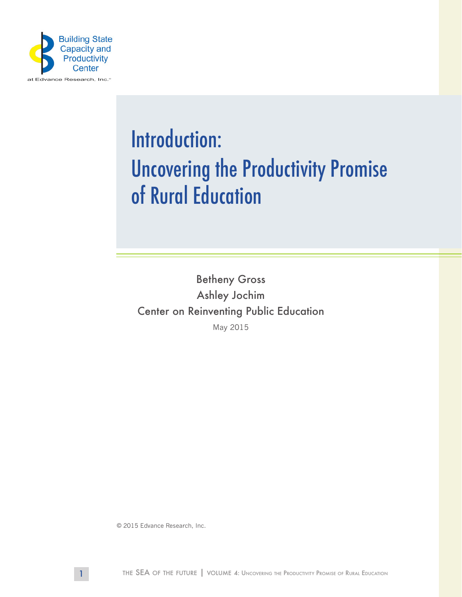

## Introduction: Uncovering the Productivity Promise of Rural Education

Betheny Gross Ashley Jochim Center on Reinventing Public Education May 2015

© 2015 Edvance Research, Inc.

1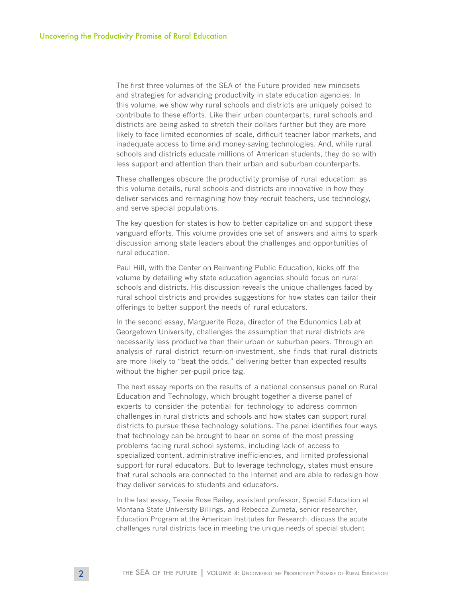The first three volumes of the SEA of the Future provided new mindsets and strategies for advancing productivity in state education agencies. In this volume, we show why rural schools and districts are uniquely poised to contribute to these efforts. Like their urban counterparts, rural schools and districts are being asked to stretch their dollars further but they are more likely to face limited economies of scale, difficult teacher labor markets, and inadequate access to time and money-saving technologies. And, while rural schools and districts educate millions of American students, they do so with less support and attention than their urban and suburban counterparts.

These challenges obscure the productivity promise of rural education: as this volume details, rural schools and districts are innovative in how they deliver services and reimagining how they recruit teachers, use technology, and serve special populations.

The key question for states is how to better capitalize on and support these vanguard efforts. This volume provides one set of answers and aims to spark discussion among state leaders about the challenges and opportunities of rural education.

Paul Hill, with the Center on Reinventing Public Education, kicks off the volume by detailing why state education agencies should focus on rural schools and districts. His discussion reveals the unique challenges faced by rural school districts and provides suggestions for how states can tailor their offerings to better support the needs of rural educators.

In the second essay, Marguerite Roza, director of the Edunomics Lab at Georgetown University, challenges the assumption that rural districts are necessarily less productive than their urban or suburban peers. Through an analysis of rural district return-on-investment, she finds that rural districts are more likely to "beat the odds," delivering better than expected results without the higher per-pupil price tag.

The next essay reports on the results of a national consensus panel on Rural Education and Technology, which brought together a diverse panel of experts to consider the potential for technology to address common challenges in rural districts and schools and how states can support rural districts to pursue these technology solutions. The panel identifies four ways that technology can be brought to bear on some of the most pressing problems facing rural school systems, including lack of access to specialized content, administrative inefficiencies, and limited professional support for rural educators. But to leverage technology, states must ensure that rural schools are connected to the Internet and are able to redesign how they deliver services to students and educators.

In the last essay, Tessie Rose Bailey, assistant professor, Special Education at Montana State University Billings, and Rebecca Zumeta, senior researcher, Education Program at the American Institutes for Research, discuss the acute challenges rural districts face in meeting the unique needs of special student